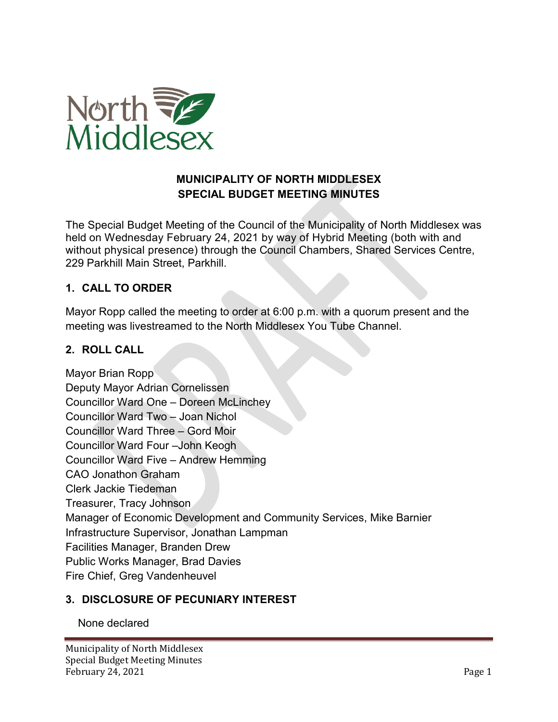

# **MUNICIPALITY OF NORTH MIDDLESEX SPECIAL BUDGET MEETING MINUTES**

The Special Budget Meeting of the Council of the Municipality of North Middlesex was held on Wednesday February 24, 2021 by way of Hybrid Meeting (both with and without physical presence) through the Council Chambers, Shared Services Centre, 229 Parkhill Main Street, Parkhill.

# **1. CALL TO ORDER**

Mayor Ropp called the meeting to order at 6:00 p.m. with a quorum present and the meeting was livestreamed to the North Middlesex You Tube Channel.

## **2. ROLL CALL**

Mayor Brian Ropp Deputy Mayor Adrian Cornelissen Councillor Ward One – Doreen McLinchey Councillor Ward Two – Joan Nichol Councillor Ward Three – Gord Moir Councillor Ward Four –John Keogh Councillor Ward Five – Andrew Hemming CAO Jonathon Graham Clerk Jackie Tiedeman Treasurer, Tracy Johnson Manager of Economic Development and Community Services, Mike Barnier Infrastructure Supervisor, Jonathan Lampman Facilities Manager, Branden Drew Public Works Manager, Brad Davies Fire Chief, Greg Vandenheuvel

## **3. DISCLOSURE OF PECUNIARY INTEREST**

None declared

Municipality of North Middlesex Special Budget Meeting Minutes February 24, 2021 Page 1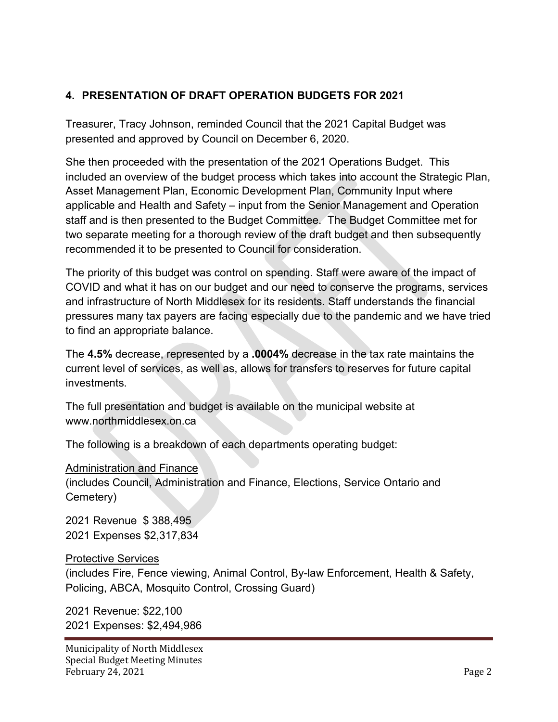# **4. PRESENTATION OF DRAFT OPERATION BUDGETS FOR 2021**

Treasurer, Tracy Johnson, reminded Council that the 2021 Capital Budget was presented and approved by Council on December 6, 2020.

She then proceeded with the presentation of the 2021 Operations Budget. This included an overview of the budget process which takes into account the Strategic Plan, Asset Management Plan, Economic Development Plan, Community Input where applicable and Health and Safety – input from the Senior Management and Operation staff and is then presented to the Budget Committee. The Budget Committee met for two separate meeting for a thorough review of the draft budget and then subsequently recommended it to be presented to Council for consideration.

The priority of this budget was control on spending. Staff were aware of the impact of COVID and what it has on our budget and our need to conserve the programs, services and infrastructure of North Middlesex for its residents. Staff understands the financial pressures many tax payers are facing especially due to the pandemic and we have tried to find an appropriate balance.

The **4.5%** decrease, represented by a **.0004%** decrease in the tax rate maintains the current level of services, as well as, allows for transfers to reserves for future capital investments.

The full presentation and budget is available on the municipal website at www.northmiddlesex.on.ca

The following is a breakdown of each departments operating budget:

Administration and Finance (includes Council, Administration and Finance, Elections, Service Ontario and Cemetery)

2021 Revenue \$ 388,495 2021 Expenses \$2,317,834

#### Protective Services

(includes Fire, Fence viewing, Animal Control, By-law Enforcement, Health & Safety, Policing, ABCA, Mosquito Control, Crossing Guard)

2021 Revenue: \$22,100 2021 Expenses: \$2,494,986

Municipality of North Middlesex Special Budget Meeting Minutes February 24, 2021 Page 2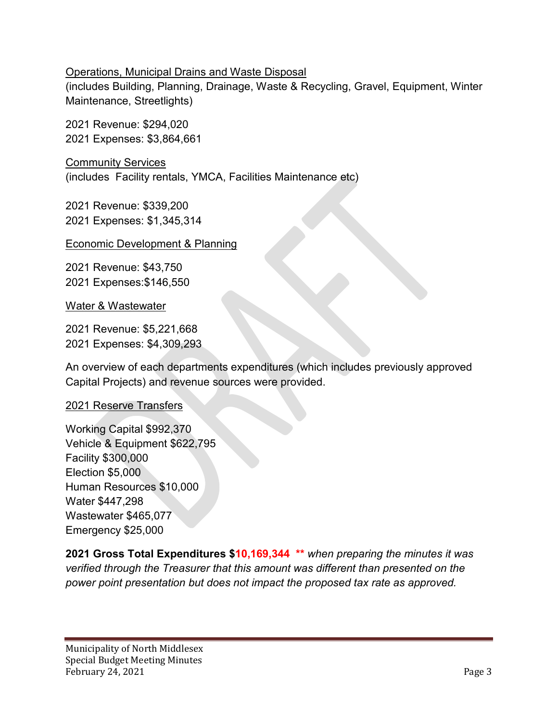#### Operations, Municipal Drains and Waste Disposal

(includes Building, Planning, Drainage, Waste & Recycling, Gravel, Equipment, Winter Maintenance, Streetlights)

2021 Revenue: \$294,020 2021 Expenses: \$3,864,661

Community Services (includes Facility rentals, YMCA, Facilities Maintenance etc)

2021 Revenue: \$339,200 2021 Expenses: \$1,345,314

#### Economic Development & Planning

2021 Revenue: \$43,750 2021 Expenses:\$146,550

Water & Wastewater

2021 Revenue: \$5,221,668 2021 Expenses: \$4,309,293

An overview of each departments expenditures (which includes previously approved Capital Projects) and revenue sources were provided.

## 2021 Reserve Transfers

Working Capital \$992,370 Vehicle & Equipment \$622,795 Facility \$300,000 Election \$5,000 Human Resources \$10,000 Water \$447,298 Wastewater \$465,077 Emergency \$25,000

**2021 Gross Total Expenditures \$10,169,344 \*\*** *when preparing the minutes it was verified through the Treasurer that this amount was different than presented on the power point presentation but does not impact the proposed tax rate as approved.*